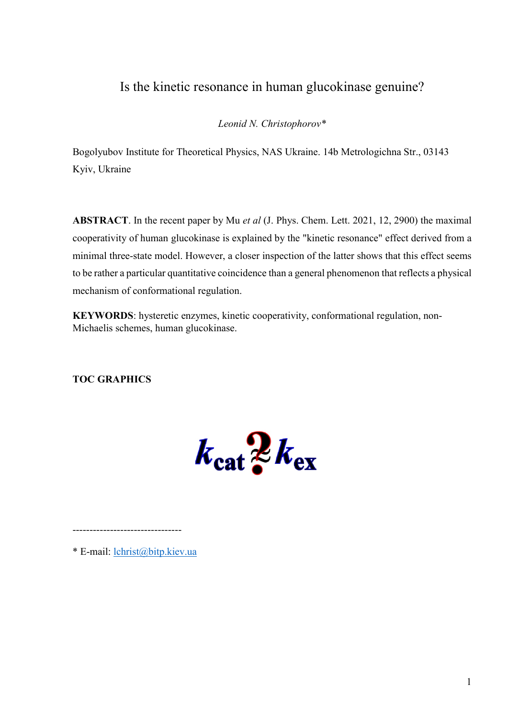## Is the kinetic resonance in human glucokinase genuine?

Leonid N. Christophorov\*

Bogolyubov Institute for Theoretical Physics, NAS Ukraine. 14b Metrologichna Str., 03143 Kyiv, Ukraine

ABSTRACT. In the recent paper by Mu *et al* (J. Phys. Chem. Lett. 2021, 12, 2900) the maximal cooperativity of human glucokinase is explained by the "kinetic resonance" effect derived from a minimal three-state model. However, a closer inspection of the latter shows that this effect seems to be rather a particular quantitative coincidence than a general phenomenon that reflects a physical mechanism of conformational regulation.

KEYWORDS: hysteretic enzymes, kinetic cooperativity, conformational regulation, non-Michaelis schemes, human glucokinase.

TOC GRAPHICS

 $k_{\rm cat}$   $\frac{1}{2}k_{\rm ex}$ 

\* E-mail: lchrist@bitp.kiev.ua

--------------------------------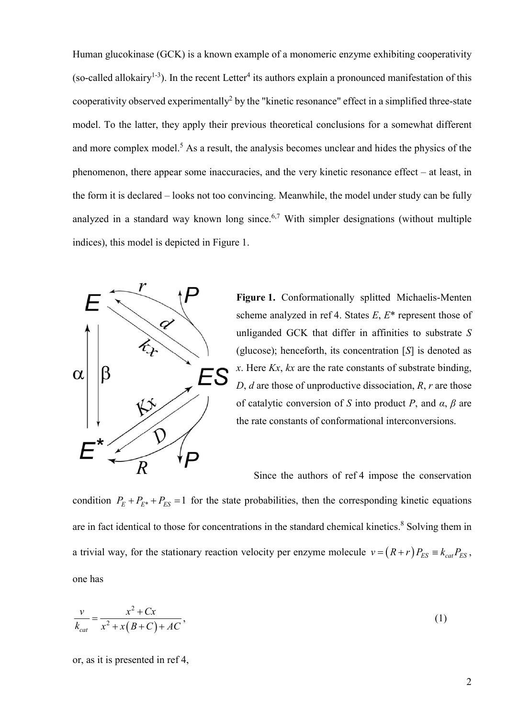Human glucokinase (GCK) is a known example of a monomeric enzyme exhibiting cooperativity (so-called allokairy<sup>1-3</sup>). In the recent Letter<sup>4</sup> its authors explain a pronounced manifestation of this cooperativity observed experimentally2 by the "kinetic resonance" effect in a simplified three-state model. To the latter, they apply their previous theoretical conclusions for a somewhat different and more complex model. <sup>5</sup> As a result, the analysis becomes unclear and hides the physics of the phenomenon, there appear some inaccuracies, and the very kinetic resonance effect – at least, in the form it is declared – looks not too convincing. Meanwhile, the model under study can be fully analyzed in a standard way known long since.<sup>6,7</sup> With simpler designations (without multiple indices), this model is depicted in Figure 1.



Figure 1. Conformationally splitted Michaelis-Menten scheme analyzed in ref 4. States  $E, E^*$  represent those of unliganded GCK that differ in affinities to substrate S (glucose); henceforth, its concentration [S] is denoted as x. Here  $Kx$ ,  $kx$  are the rate constants of substrate binding, D,  $d$  are those of unproductive dissociation,  $R$ ,  $r$  are those of catalytic conversion of S into product P, and  $\alpha$ ,  $\beta$  are the rate constants of conformational interconversions.

Since the authors of ref 4 impose the conservation

condition  $P_E + P_{E*} + P_{ES} = 1$  for the state probabilities, then the corresponding kinetic equations are in fact identical to those for concentrations in the standard chemical kinetics. <sup>8</sup> Solving them in a trivial way, for the stationary reaction velocity per enzyme molecule  $v = (R + r)P_{ES} = k_{cat}P_{ES}$ , one has

$$
\frac{v}{k_{cat}} = \frac{x^2 + Cx}{x^2 + x(B+C) + AC},
$$
\n(1)

or, as it is presented in ref 4,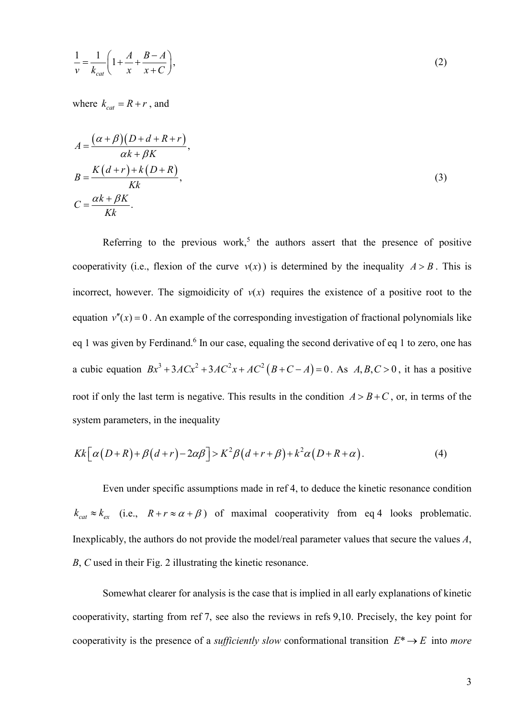$$
\frac{1}{v} = \frac{1}{k_{cat}} \left( 1 + \frac{A}{x} + \frac{B - A}{x + C} \right),
$$
\n(2)

where  $k_{cat} = R + r$ , and

$$
A = \frac{(\alpha + \beta)(D + d + R + r)}{\alpha k + \beta K},
$$
  
\n
$$
B = \frac{K(d+r) + k(D + R)}{Kk},
$$
  
\n
$$
C = \frac{\alpha k + \beta K}{Kk}.
$$
  
\n(3)

Referring to the previous work,<sup>5</sup> the authors assert that the presence of positive cooperativity (i.e., flexion of the curve  $v(x)$ ) is determined by the inequality  $A > B$ . This is incorrect, however. The sigmoidicity of  $v(x)$  requires the existence of a positive root to the equation  $v''(x) = 0$ . An example of the corresponding investigation of fractional polynomials like eq 1 was given by Ferdinand.<sup>6</sup> In our case, equaling the second derivative of eq 1 to zero, one has a cubic equation  $Bx^3 + 3ACx^2 + 3AC^2x + AC^2(B+C-A) = 0$ . As  $A, B, C > 0$ , it has a positive root if only the last term is negative. This results in the condition  $A > B + C$ , or, in terms of the system parameters, in the inequality

$$
Kk\big[\alpha(D+R)+\beta(d+r)-2\alpha\beta\big]>K^2\beta(d+r+\beta)+k^2\alpha(D+R+\alpha). \tag{4}
$$

Even under specific assumptions made in ref 4, to deduce the kinetic resonance condition  $k_{cat} \approx k_{ex}$  (i.e.,  $R + r \approx \alpha + \beta$ ) of maximal cooperativity from eq 4 looks problematic. Inexplicably, the authors do not provide the model/real parameter values that secure the values A, B, C used in their Fig. 2 illustrating the kinetic resonance.

Somewhat clearer for analysis is the case that is implied in all early explanations of kinetic cooperativity, starting from ref 7, see also the reviews in refs 9,10. Precisely, the key point for cooperativity is the presence of a *sufficiently slow* conformational transition  $E^* \to E$  into more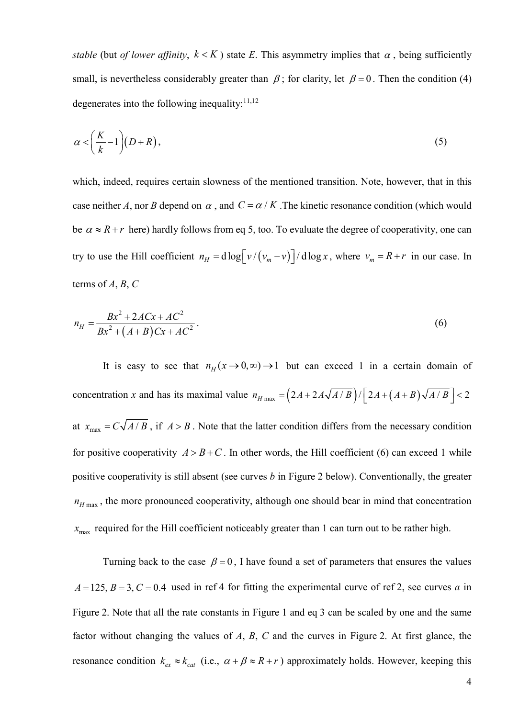stable (but of lower affinity,  $k < K$ ) state E. This asymmetry implies that  $\alpha$ , being sufficiently small, is nevertheless considerably greater than  $\beta$ ; for clarity, let  $\beta = 0$ . Then the condition (4) degenerates into the following inequality: $11,12$ 

$$
\alpha < \left(\frac{K}{k} - 1\right)(D + R),\tag{5}
$$

which, indeed, requires certain slowness of the mentioned transition. Note, however, that in this case neither A, nor B depend on  $\alpha$ , and  $C = \alpha / K$ . The kinetic resonance condition (which would be  $\alpha \approx R + r$  here) hardly follows from eq 5, too. To evaluate the degree of cooperativity, one can try to use the Hill coefficient  $n_H = d \log \left[ \frac{v}{v_m - v} \right] / d \log x$ , where  $v_m = R + r$  in our case. In terms of  $A, B, C$ 

$$
n_H = \frac{Bx^2 + 2ACx + AC^2}{Bx^2 + (A+B)Cx + AC^2}.
$$
\n(6)

It is easy to see that  $n_H(x \to 0, \infty) \to 1$  but can exceed 1 in a certain domain of concentration x and has its maximal value  $n_{H \text{ max}} = (2A + 2A\sqrt{A/B}) / [2A + (A+B)\sqrt{A/B}] < 2$ at  $x_{\text{max}} = C \sqrt{A/B}$ , if  $A > B$ . Note that the latter condition differs from the necessary condition for positive cooperativity  $A > B + C$ . In other words, the Hill coefficient (6) can exceed 1 while positive cooperativity is still absent (see curves  $b$  in Figure 2 below). Conventionally, the greater  $n_{H \text{ max}}$ , the more pronounced cooperativity, although one should bear in mind that concentration  $x_{\text{max}}$  required for the Hill coefficient noticeably greater than 1 can turn out to be rather high.

Turning back to the case  $\beta = 0$ , I have found a set of parameters that ensures the values  $A = 125$ ,  $B = 3$ ,  $C = 0.4$  used in ref 4 for fitting the experimental curve of ref 2, see curves a in Figure 2. Note that all the rate constants in Figure 1 and eq 3 can be scaled by one and the same factor without changing the values of  $A$ ,  $B$ ,  $C$  and the curves in Figure 2. At first glance, the resonance condition  $k_{ex} \approx k_{cat}$  (i.e.,  $\alpha + \beta \approx R + r$ ) approximately holds. However, keeping this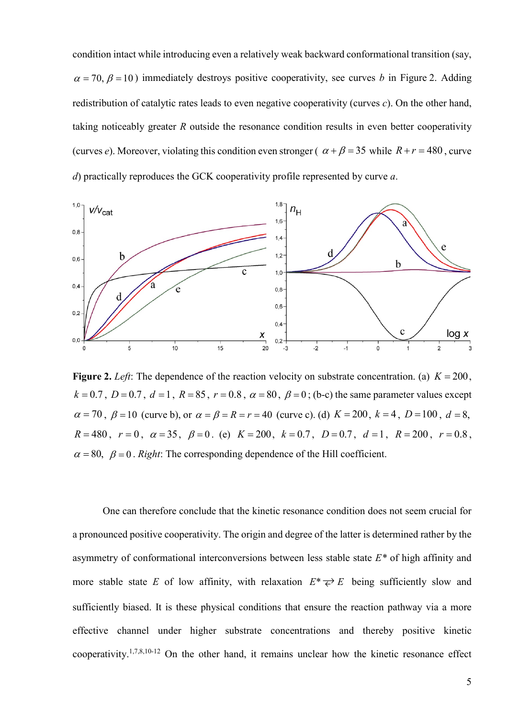condition intact while introducing even a relatively weak backward conformational transition (say,  $\alpha = 70$ ,  $\beta = 10$ ) immediately destroys positive cooperativity, see curves b in Figure 2. Adding redistribution of catalytic rates leads to even negative cooperativity (curves  $c$ ). On the other hand, taking noticeably greater R outside the resonance condition results in even better cooperativity (curves e). Moreover, violating this condition even stronger ( $\alpha + \beta = 35$  while  $R + r = 480$ , curve d) practically reproduces the GCK cooperativity profile represented by curve a.



Figure 2. Left: The dependence of the reaction velocity on substrate concentration. (a)  $K = 200$ ,  $k = 0.7$ ,  $D = 0.7$ ,  $d = 1$ ,  $R = 85$ ,  $r = 0.8$ ,  $\alpha = 80$ ,  $\beta = 0$ ; (b-c) the same parameter values except  $\alpha = 70$ ,  $\beta = 10$  (curve b), or  $\alpha = \beta = R = r = 40$  (curve c). (d)  $K = 200$ ,  $k = 4$ ,  $D = 100$ ,  $d = 8$ ,  $R = 480$ ,  $r = 0$ ,  $\alpha = 35$ ,  $\beta = 0$ . (e)  $K = 200$ ,  $k = 0.7$ ,  $D = 0.7$ ,  $d = 1$ ,  $R = 200$ ,  $r = 0.8$ ,  $\alpha = 80$ ,  $\beta = 0$ . Right: The corresponding dependence of the Hill coefficient.

One can therefore conclude that the kinetic resonance condition does not seem crucial for a pronounced positive cooperativity. The origin and degree of the latter is determined rather by the asymmetry of conformational interconversions between less stable state  $E^*$  of high affinity and more stable state E of low affinity, with relaxation  $E^* \rightleftarrows E$  being sufficiently slow and sufficiently biased. It is these physical conditions that ensure the reaction pathway via a more effective channel under higher substrate concentrations and thereby positive kinetic cooperativity.1,7,8,10-12 On the other hand, it remains unclear how the kinetic resonance effect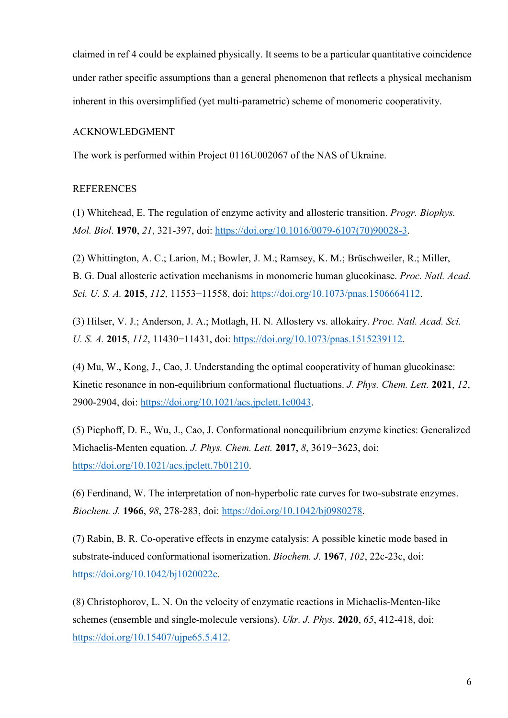claimed in ref 4 could be explained physically. It seems to be a particular quantitative coincidence under rather specific assumptions than a general phenomenon that reflects a physical mechanism inherent in this oversimplified (yet multi-parametric) scheme of monomeric cooperativity.

## ACKNOWLEDGMENT

The work is performed within Project 0116U002067 of the NAS of Ukraine.

## REFERENCES

(1) Whitehead, E. The regulation of enzyme activity and allosteric transition. Progr. Biophys. Mol. Biol. 1970, 21, 321-397, doi: https://doi.org/10.1016/0079-6107(70)90028-3.

(2) Whittington, A. C.; Larion, M.; Bowler, J. M.; Ramsey, K. M.; Brüschweiler, R.; Miller, B. G. Dual allosteric activation mechanisms in monomeric human glucokinase. Proc. Natl. Acad. Sci. U. S. A. 2015, 112, 11553–11558, doi: https://doi.org/10.1073/pnas.1506664112.

(3) Hilser, V. J.; Anderson, J. A.; Motlagh, H. N. Allostery vs. allokairy. Proc. Natl. Acad. Sci. U. S. A. 2015, 112, 11430−11431, doi: https://doi.org/10.1073/pnas.1515239112.

(4) Mu, W., Kong, J., Cao, J. Understanding the optimal cooperativity of human glucokinase: Kinetic resonance in non-equilibrium conformational fluctuations. *J. Phys. Chem. Lett.* 2021, 12, 2900-2904, doi: https://doi.org/10.1021/acs.jpclett.1c0043.

(5) Piephoff, D. E., Wu, J., Cao, J. Conformational nonequilibrium enzyme kinetics: Generalized Michaelis-Menten equation. *J. Phys. Chem. Lett.* 2017, 8, 3619–3623, doi: https://doi.org/10.1021/acs.jpclett.7b01210.

(6) Ferdinand, W. The interpretation of non-hyperbolic rate curves for two-substrate enzymes. Biochem. J. 1966, 98, 278-283, doi: https://doi.org/10.1042/bj0980278.

(7) Rabin, B. R. Co-operative effects in enzyme catalysis: A possible kinetic mode based in substrate-induced conformational isomerization. Biochem. J. 1967, 102, 22c-23c, doi: https://doi.org/10.1042/bj1020022c.

(8) Christophorov, L. N. On the velocity of enzymatic reactions in Michaelis-Menten-like schemes (ensemble and single-molecule versions). Ukr. J. Phys. 2020, 65, 412-418, doi: https://doi.org/10.15407/ujpe65.5.412.